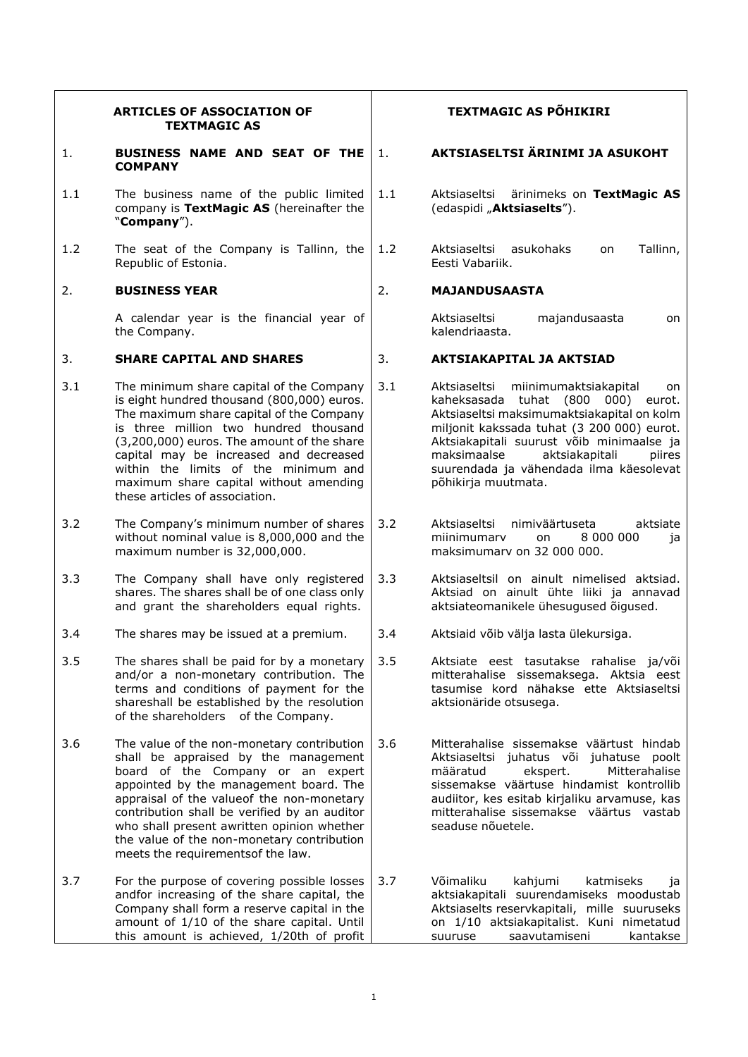|     | <b>ARTICLES OF ASSOCIATION OF</b><br><b>TEXTMAGIC AS</b>                                                                                                                                                                                                                                                                                                                                          |     | <b>TEXTMAGIC AS PÕHIKIRI</b>                                                                                                                                                                                                                                                                                                               |  |  |
|-----|---------------------------------------------------------------------------------------------------------------------------------------------------------------------------------------------------------------------------------------------------------------------------------------------------------------------------------------------------------------------------------------------------|-----|--------------------------------------------------------------------------------------------------------------------------------------------------------------------------------------------------------------------------------------------------------------------------------------------------------------------------------------------|--|--|
| 1.  | BUSINESS NAME AND SEAT OF THE<br><b>COMPANY</b>                                                                                                                                                                                                                                                                                                                                                   | 1.  | AKTSIASELTSI ÄRINIMI JA ASUKOHT                                                                                                                                                                                                                                                                                                            |  |  |
| 1.1 | The business name of the public limited<br>company is TextMagic AS (hereinafter the<br>"Company").                                                                                                                                                                                                                                                                                                | 1.1 | ärinimeks on TextMagic AS<br>Aktsiaseltsi<br>(edaspidi "Aktsiaselts").                                                                                                                                                                                                                                                                     |  |  |
| 1.2 | The seat of the Company is Tallinn, the<br>Republic of Estonia.                                                                                                                                                                                                                                                                                                                                   | 1.2 | Aktsiaseltsi<br>asukohaks<br>Tallinn,<br>on<br>Eesti Vabariik.                                                                                                                                                                                                                                                                             |  |  |
| 2.  | <b>BUSINESS YEAR</b>                                                                                                                                                                                                                                                                                                                                                                              | 2.  | <b>MAJANDUSAASTA</b>                                                                                                                                                                                                                                                                                                                       |  |  |
|     | A calendar year is the financial year of<br>the Company.                                                                                                                                                                                                                                                                                                                                          |     | majandusaasta<br>Aktsiaseltsi<br>on<br>kalendriaasta.                                                                                                                                                                                                                                                                                      |  |  |
| 3.  | <b>SHARE CAPITAL AND SHARES</b>                                                                                                                                                                                                                                                                                                                                                                   | 3.  | <b>AKTSIAKAPITAL JA AKTSIAD</b>                                                                                                                                                                                                                                                                                                            |  |  |
| 3.1 | The minimum share capital of the Company<br>is eight hundred thousand (800,000) euros.<br>The maximum share capital of the Company<br>is three million two hundred thousand<br>(3,200,000) euros. The amount of the share<br>capital may be increased and decreased<br>within the limits of the minimum and<br>maximum share capital without amending<br>these articles of association.           | 3.1 | Aktsiaseltsi<br>miinimumaktsiakapital<br>on<br>kaheksasada tuhat (800 000)<br>eurot.<br>Aktsiaseltsi maksimumaktsiakapital on kolm<br>miljonit kakssada tuhat (3 200 000) eurot.<br>Aktsiakapitali suurust võib minimaalse ja<br>maksimaalse<br>aktsiakapitali<br>piires<br>suurendada ja vähendada ilma käesolevat<br>põhikirja muutmata. |  |  |
| 3.2 | The Company's minimum number of shares<br>without nominal value is 8,000,000 and the<br>maximum number is 32,000,000.                                                                                                                                                                                                                                                                             | 3.2 | Aktsiaseltsi<br>nimiväärtuseta<br>aktsiate<br>miinimumary<br>8 000 000<br>on.<br>ia<br>maksimumary on 32 000 000.                                                                                                                                                                                                                          |  |  |
| 3.3 | The Company shall have only registered<br>shares. The shares shall be of one class only<br>and grant the shareholders equal rights.                                                                                                                                                                                                                                                               | 3.3 | Aktsiaseltsil on ainult nimelised aktsiad.<br>Aktsiad on ainult ühte liiki ja annavad<br>aktsiateomanikele ühesugused õigused.                                                                                                                                                                                                             |  |  |
| 3.4 | The shares may be issued at a premium.                                                                                                                                                                                                                                                                                                                                                            | 3.4 | Aktsiaid võib välja lasta ülekursiga.                                                                                                                                                                                                                                                                                                      |  |  |
| 3.5 | The shares shall be paid for by a monetary<br>and/or a non-monetary contribution. The<br>terms and conditions of payment for the<br>shareshall be established by the resolution<br>of the shareholders of the Company.                                                                                                                                                                            | 3.5 | Aktsiate eest tasutakse rahalise ja/või<br>mitterahalise sissemaksega. Aktsia eest<br>tasumise kord nähakse ette Aktsiaseltsi<br>aktsionäride otsusega.                                                                                                                                                                                    |  |  |
| 3.6 | The value of the non-monetary contribution<br>shall be appraised by the management<br>board of the Company or an expert<br>appointed by the management board. The<br>appraisal of the value of the non-monetary<br>contribution shall be verified by an auditor<br>who shall present awritten opinion whether<br>the value of the non-monetary contribution<br>meets the requirements of the law. | 3.6 | Mitterahalise sissemakse väärtust hindab<br>Aktsiaseltsi juhatus või juhatuse poolt<br>määratud<br>ekspert.<br>Mitterahalise<br>sissemakse väärtuse hindamist kontrollib<br>audiitor, kes esitab kirjaliku arvamuse, kas<br>mitterahalise sissemakse väärtus vastab<br>seaduse nõuetele.                                                   |  |  |
| 3.7 | For the purpose of covering possible losses<br>andfor increasing of the share capital, the<br>Company shall form a reserve capital in the<br>amount of 1/10 of the share capital. Until<br>this amount is achieved, 1/20th of profit                                                                                                                                                              | 3.7 | Võimaliku<br>kahjumi<br>katmiseks<br>1a<br>aktsiakapitali suurendamiseks moodustab<br>Aktsiaselts reservkapitali, mille suuruseks<br>on 1/10 aktsiakapitalist. Kuni nimetatud<br>saavutamiseni<br>suuruse<br>kantakse                                                                                                                      |  |  |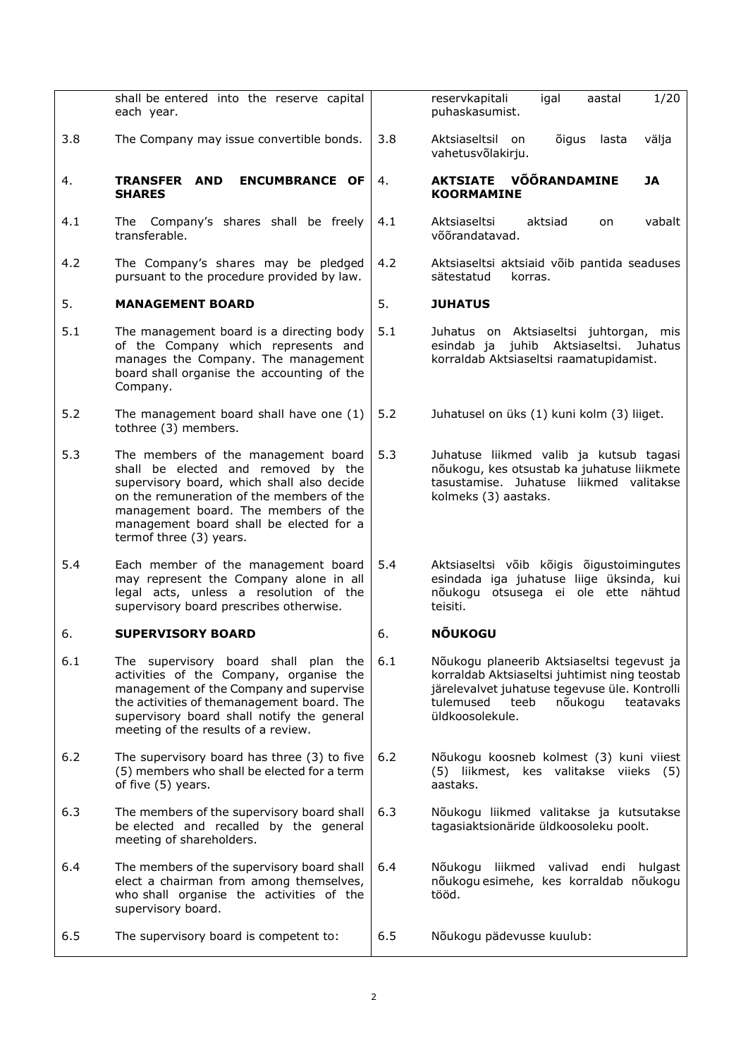|       | shall be entered into the reserve capital<br>each year.                                                                                                                                                                                                                             |     | reservkapitali<br>igal<br>1/20<br>aastal<br>puhaskasumist.                                                                                                                                                   |
|-------|-------------------------------------------------------------------------------------------------------------------------------------------------------------------------------------------------------------------------------------------------------------------------------------|-----|--------------------------------------------------------------------------------------------------------------------------------------------------------------------------------------------------------------|
| 3.8   | The Company may issue convertible bonds.                                                                                                                                                                                                                                            | 3.8 | Aktsiaseltsil on<br>õigus<br>lasta<br>välja<br>vahetusvõlakirju.                                                                                                                                             |
| 4.    | <b>ENCUMBRANCE OF</b><br>TRANSFER AND<br><b>SHARES</b>                                                                                                                                                                                                                              | 4.  | VÕÕRANDAMINE<br><b>AKTSIATE</b><br>JA<br><b>KOORMAMINE</b>                                                                                                                                                   |
| 4.1   | The Company's shares shall be freely<br>transferable.                                                                                                                                                                                                                               | 4.1 | Aktsiaseltsi<br>vabalt<br>aktsiad<br>on<br>võõrandatavad.                                                                                                                                                    |
| 4.2   | The Company's shares may be pledged<br>pursuant to the procedure provided by law.                                                                                                                                                                                                   | 4.2 | Aktsiaseltsi aktsiaid võib pantida seaduses<br>korras.<br>sätestatud                                                                                                                                         |
| 5.    | <b>MANAGEMENT BOARD</b>                                                                                                                                                                                                                                                             | 5.  | <b>JUHATUS</b>                                                                                                                                                                                               |
| 5.1   | The management board is a directing body<br>of the Company which represents and<br>manages the Company. The management<br>board shall organise the accounting of the<br>Company.                                                                                                    | 5.1 | Juhatus on Aktsiaseltsi juhtorgan, mis<br>juhib Aktsiaseltsi.<br>Juhatus<br>esindab ja<br>korraldab Aktsiaseltsi raamatupidamist.                                                                            |
| 5.2   | The management board shall have one (1)<br>tothree (3) members.                                                                                                                                                                                                                     | 5.2 | Juhatusel on üks (1) kuni kolm (3) liiget.                                                                                                                                                                   |
| 5.3   | The members of the management board<br>shall be elected and removed by the<br>supervisory board, which shall also decide<br>on the remuneration of the members of the<br>management board. The members of the<br>management board shall be elected for a<br>termof three (3) years. | 5.3 | Juhatuse liikmed valib ja kutsub tagasi<br>nõukogu, kes otsustab ka juhatuse liikmete<br>tasustamise. Juhatuse liikmed valitakse<br>kolmeks (3) aastaks.                                                     |
| 5.4   | Each member of the management board<br>may represent the Company alone in all<br>legal acts, unless a resolution of the<br>supervisory board prescribes otherwise.                                                                                                                  | 5.4 | Aktsiaseltsi võib kõigis õigustoimingutes<br>esindada iga juhatuse liige üksinda, kui<br>nõukogu otsusega ei ole ette nähtud<br>teisiti.                                                                     |
| 6.    | <b>SUPERVISORY BOARD</b>                                                                                                                                                                                                                                                            | 6.  | <b>NÕUKOGU</b>                                                                                                                                                                                               |
| 6.1   | The supervisory board shall plan the<br>activities of the Company, organise the<br>management of the Company and supervise<br>the activities of themanagement board. The<br>supervisory board shall notify the general<br>meeting of the results of a review.                       | 6.1 | Nõukogu planeerib Aktsiaseltsi tegevust ja<br>korraldab Aktsiaseltsi juhtimist ning teostab<br>järelevalvet juhatuse tegevuse üle. Kontrolli<br>nõukogu<br>tulemused<br>teeb<br>teatavaks<br>üldkoosolekule. |
| $6.2$ | The supervisory board has three (3) to five<br>(5) members who shall be elected for a term<br>of five (5) years.                                                                                                                                                                    | 6.2 | Nõukogu koosneb kolmest (3) kuni viiest<br>(5) liikmest, kes valitakse viieks (5)<br>aastaks.                                                                                                                |
| 6.3   | The members of the supervisory board shall<br>be elected and recalled by the general<br>meeting of shareholders.                                                                                                                                                                    | 6.3 | Nõukogu liikmed valitakse ja kutsutakse<br>tagasiaktsionäride üldkoosoleku poolt.                                                                                                                            |
| 6.4   | The members of the supervisory board shall<br>elect a chairman from among themselves,<br>who shall organise the activities of the<br>supervisory board.                                                                                                                             | 6.4 | Nõukogu<br>liikmed valivad endi hulgast<br>nõukogu esimehe, kes korraldab nõukogu<br>tööd.                                                                                                                   |
| 6.5   | The supervisory board is competent to:                                                                                                                                                                                                                                              | 6.5 | Nõukogu pädevusse kuulub:                                                                                                                                                                                    |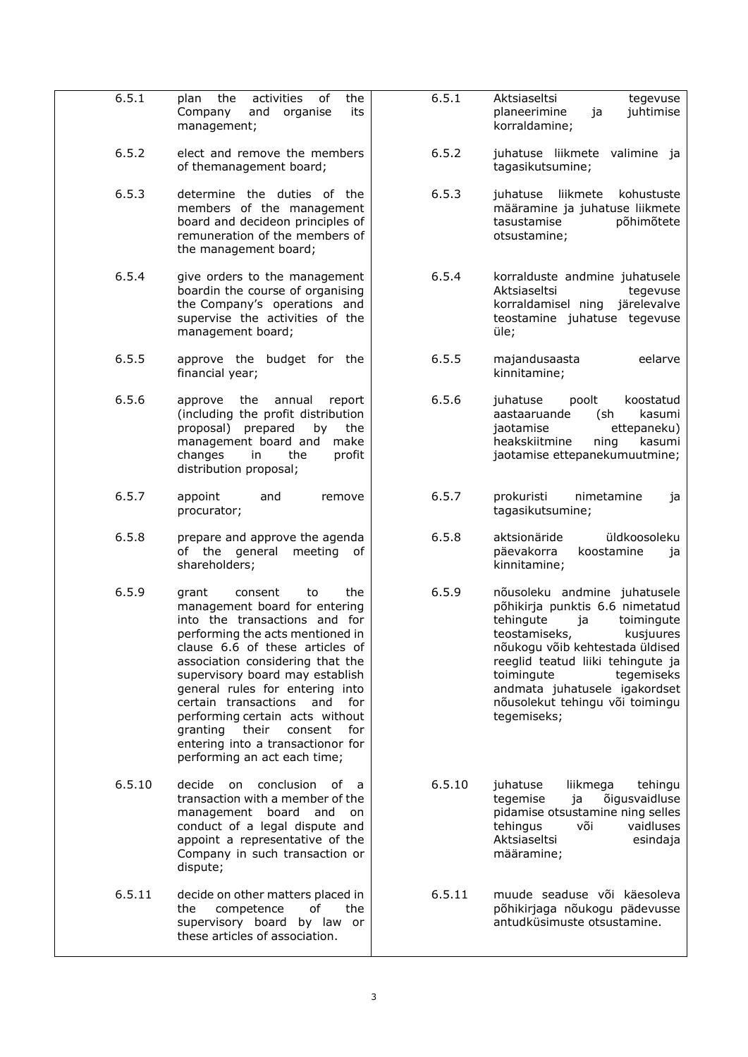<span id="page-2-5"></span><span id="page-2-4"></span><span id="page-2-3"></span><span id="page-2-2"></span><span id="page-2-1"></span><span id="page-2-0"></span>

| 6.5.1  | activities<br>the<br>of<br>the<br>plan<br>and organise<br>Company<br>its<br>management;                                                                                                                                                                                                                                                                                                                                                                         | 6.5.1  | Aktsiaseltsi<br>tegevuse<br>planeerimine<br>juhtimise<br>ja<br>korraldamine;                                                                                                                                                                                                                                          |
|--------|-----------------------------------------------------------------------------------------------------------------------------------------------------------------------------------------------------------------------------------------------------------------------------------------------------------------------------------------------------------------------------------------------------------------------------------------------------------------|--------|-----------------------------------------------------------------------------------------------------------------------------------------------------------------------------------------------------------------------------------------------------------------------------------------------------------------------|
| 6.5.2  | elect and remove the members<br>of themanagement board;                                                                                                                                                                                                                                                                                                                                                                                                         | 6.5.2  | juhatuse liikmete valimine ja<br>tagasikutsumine;                                                                                                                                                                                                                                                                     |
| 6.5.3  | determine the duties of the<br>members of the management<br>board and decideon principles of<br>remuneration of the members of<br>the management board;                                                                                                                                                                                                                                                                                                         | 6.5.3  | juhatuse liikmete<br>kohustuste<br>määramine ja juhatuse liikmete<br>tasustamise<br>põhimõtete<br>otsustamine;                                                                                                                                                                                                        |
| 6.5.4  | give orders to the management<br>boardin the course of organising<br>the Company's operations and<br>supervise the activities of the<br>management board;                                                                                                                                                                                                                                                                                                       | 6.5.4  | korralduste andmine juhatusele<br>Aktsiaseltsi<br>tegevuse<br>korraldamisel ning järelevalve<br>teostamine juhatuse tegevuse<br>üle;                                                                                                                                                                                  |
| 6.5.5  | approve the budget for the<br>financial year;                                                                                                                                                                                                                                                                                                                                                                                                                   | 6.5.5  | majandusaasta<br>eelarve<br>kinnitamine;                                                                                                                                                                                                                                                                              |
| 6.5.6  | approve the<br>annual<br>report<br>(including the profit distribution<br>proposal) prepared<br>by<br>the<br>management board and<br>make<br>changes<br>the<br>profit<br>in<br>distribution proposal;                                                                                                                                                                                                                                                            | 6.5.6  | juhatuse<br>poolt<br>koostatud<br>aastaaruande<br>(sh<br>kasumi<br>jaotamise<br>ettepaneku)<br>heakskiitmine<br>ning<br>kasumi<br>jaotamise ettepanekumuutmine;                                                                                                                                                       |
| 6.5.7  | appoint<br>and<br>remove<br>procurator;                                                                                                                                                                                                                                                                                                                                                                                                                         | 6.5.7  | prokuristi<br>nimetamine<br>ja<br>tagasikutsumine;                                                                                                                                                                                                                                                                    |
| 6.5.8  | prepare and approve the agenda<br>of the general<br>meeting<br>of<br>shareholders;                                                                                                                                                                                                                                                                                                                                                                              | 6.5.8  | üldkoosoleku<br>aktsionäride<br>päevakorra<br>koostamine<br>ia<br>kinnitamine;                                                                                                                                                                                                                                        |
| 6.5.9  | grant<br>consent<br>the<br>to<br>management board for entering<br>into the transactions and for<br>performing the acts mentioned in<br>clause 6.6 of these articles of<br>association considering that the<br>supervisory board may establish<br>general rules for entering into<br>certain transactions<br>and<br>for<br>performing certain acts without<br>granting their consent<br>for<br>entering into a transactionor for<br>performing an act each time; | 6.5.9  | nõusoleku andmine juhatusele<br>põhikirja punktis 6.6 nimetatud<br>tehingute<br>toimingute<br>ja<br>teostamiseks,<br>kusjuures<br>nõukogu võib kehtestada üldised<br>reeglid teatud liiki tehingute ja<br>toimingute<br>tegemiseks<br>andmata juhatusele igakordset<br>nõusolekut tehingu või toimingu<br>tegemiseks; |
| 6.5.10 | decide<br>conclusion<br>on<br>of<br>a -<br>transaction with a member of the<br>management board and on<br>conduct of a legal dispute and<br>appoint a representative of the<br>Company in such transaction or<br>dispute;                                                                                                                                                                                                                                       | 6.5.10 | juhatuse<br>liikmega<br>tehingu<br>õigusvaidluse<br>tegemise<br>ja<br>pidamise otsustamine ning selles<br>tehingus<br>või<br>vaidluses<br>Aktsiaseltsi<br>esindaja<br>määramine;                                                                                                                                      |
| 6.5.11 | decide on other matters placed in<br>the<br>competence<br>οf<br>the<br>supervisory board by law or<br>these articles of association.                                                                                                                                                                                                                                                                                                                            | 6.5.11 | muude seaduse või käesoleva<br>põhikirjaga nõukogu pädevusse<br>antudküsimuste otsustamine.                                                                                                                                                                                                                           |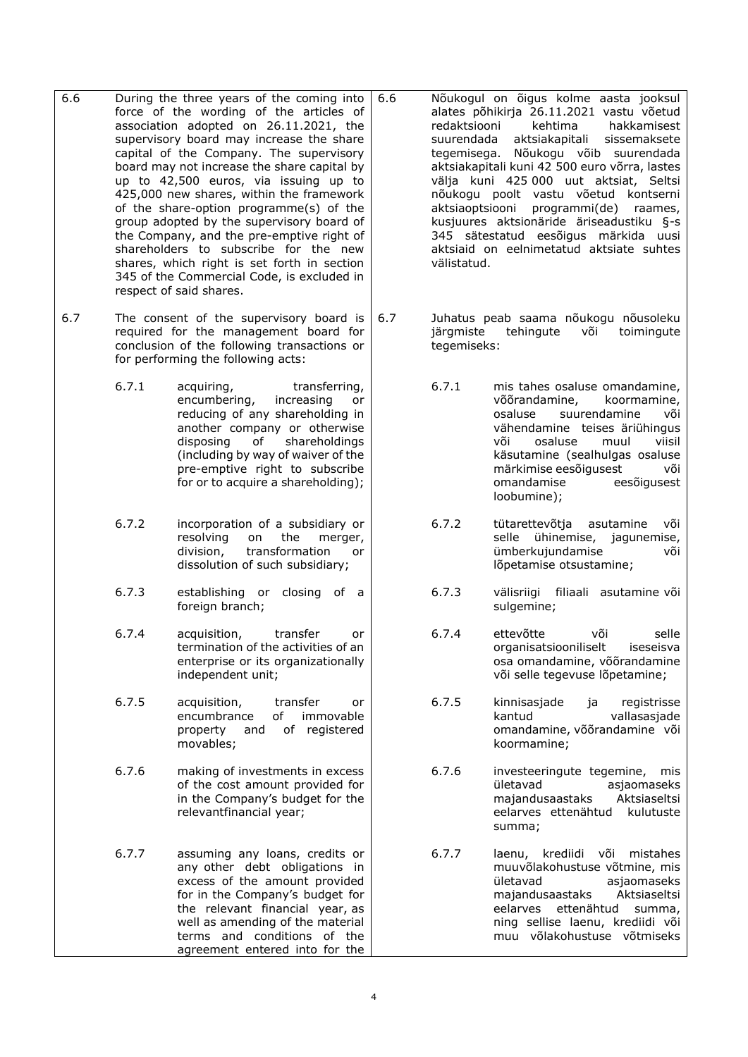- <span id="page-3-0"></span>6.6 During the three years of the coming into force of the wording of the articles of association adopted on 26.11.2021, the supervisory board may increase the share capital of the Company. The supervisory board may not increase the share capital by up to 42,500 euros, via issuing up to 425,000 new shares, within the framework of the share-option programme(s) of the group adopted by the supervisory board of the Company, and the pre-emptive right of shareholders to subscribe for the new shares, which right is set forth in section 345 of the Commercial Code, is excluded in respect of said shares.
- <span id="page-3-2"></span>6.7 The consent of the supervisory board is required for the management board for conclusion of the following transactions or for performing the following acts:
	- 6.7.1 acquiring, transferring, encumbering, increasing or reducing of any shareholding in another company or otherwise disposing of shareholdings (including by way of waiver of the pre-emptive right to subscribe for or to acquire a shareholding);
	- 6.7.2 incorporation of a subsidiary or resolving on the merger, division, transformation or dissolution of such subsidiary;
	- 6.7.3 establishing or closing of a foreign branch;
	- 6.7.4 acquisition, transfer or termination of the activities of an enterprise or its organizationally independent unit;
	- 6.7.5 acquisition, transfer or encumbrance of immovable property and of registered movables;
	- 6.7.6 making of investments in excess of the cost amount provided for in the Company's budget for the relevantfinancial year;
	- 6.7.7 assuming any loans, credits or any other debt obligations in excess of the amount provided for in the Company's budget for the relevant financial year, as well as amending of the material terms and conditions of the agreement entered into for the

<span id="page-3-1"></span>6.6 Nõukogul on õigus kolme aasta jooksul alates põhikirja 26.11.2021 vastu võetud redaktsiooni kehtima hakkamisest suurendada aktsiakapitali sissemaksete tegemisega. Nõukogu võib suurendada aktsiakapitali kuni 42 500 euro võrra, lastes välja kuni 425 000 uut aktsiat, Seltsi nõukogu poolt vastu võetud kontserni aktsiaoptsiooni programmi(de) raames, kusjuures aktsionäride äriseadustiku §-s 345 sätestatud eesõigus märkida uusi aktsiaid on eelnimetatud aktsiate suhtes välistatud.

- <span id="page-3-3"></span>6.7 Juhatus peab saama nõukogu nõusoleku järgmiste tehingute või toimingute tegemiseks:
	- 6.7.1 mis tahes osaluse omandamine, võõrandamine, koormamine, osaluse suurendamine või vähendamine teises äriühingus või osaluse muul viisil käsutamine (sealhulgas osaluse märkimise eesõigusest või omandamise eesõigusest loobumine);
	- 6.7.2 tütarettevõtja asutamine või selle ühinemise, jagunemise, ümberkujundamise või lõpetamise otsustamine;
	- 6.7.3 välisriigi filiaali asutamine või sulgemine;
	- 6.7.4 ettevõtte või selle organisatsiooniliselt iseseisva osa omandamine, võõrandamine või selle tegevuse lõpetamine;
	- 6.7.5 kinnisasjade ja registrisse kantud vallasasjade omandamine, võõrandamine või koormamine;
	- 6.7.6 investeeringute tegemine, mis ületavad asjaomaseks<br>majandusaastaks Aktsiaseltsi majandusaastaks eelarves ettenähtud kulutuste summa;
	- 6.7.7 laenu, krediidi või mistahes muu võlakohustuse võtmine, mis ületavad asjaomaseks majandusaastaks Aktsiaseltsi eelarves ettenähtud summa, ning sellise laenu, krediidi või muu võlakohustuse võtmiseks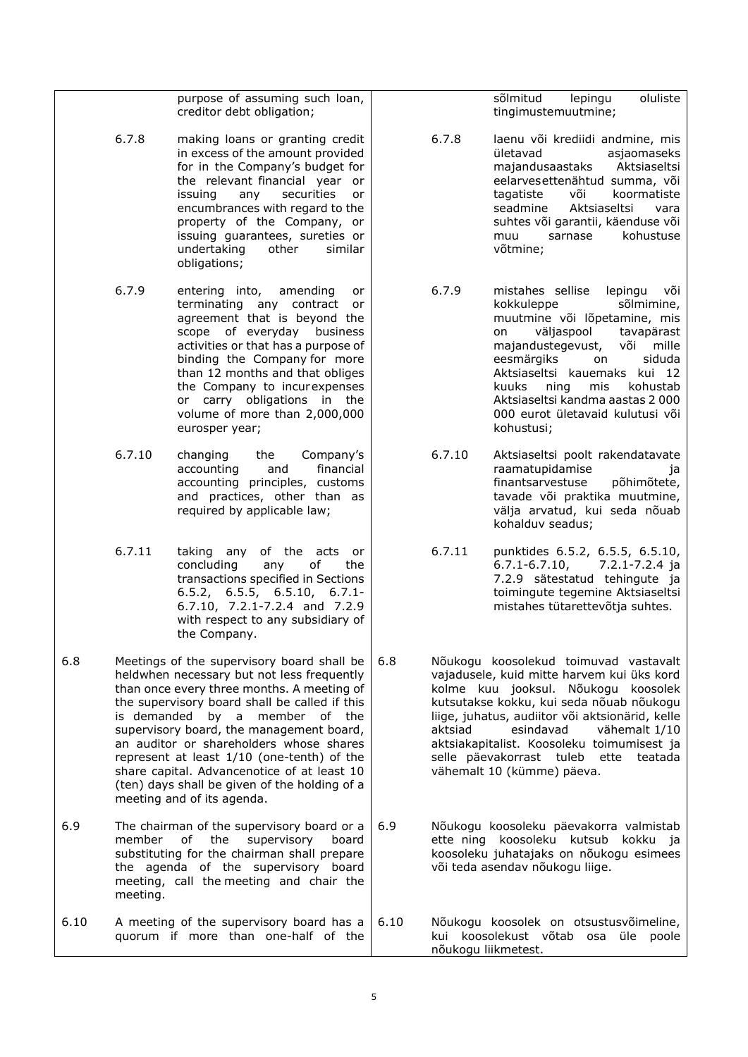<span id="page-4-1"></span><span id="page-4-0"></span>

|      |                    | purpose of assuming such loan,<br>creditor debt obligation;                                                                                                                                                                                                                                                                                                                                                                                                                      |      |         | sõlmitud<br>lepingu<br>oluliste<br>tingimustemuutmine;                                                                                                                                                                                                                                                                                                                          |
|------|--------------------|----------------------------------------------------------------------------------------------------------------------------------------------------------------------------------------------------------------------------------------------------------------------------------------------------------------------------------------------------------------------------------------------------------------------------------------------------------------------------------|------|---------|---------------------------------------------------------------------------------------------------------------------------------------------------------------------------------------------------------------------------------------------------------------------------------------------------------------------------------------------------------------------------------|
|      | 6.7.8              | making loans or granting credit<br>in excess of the amount provided<br>for in the Company's budget for<br>the relevant financial year or<br>issuing<br>any<br>securities<br>or<br>encumbrances with regard to the<br>property of the Company, or<br>issuing guarantees, sureties or<br>undertaking<br>other<br>similar<br>obligations;                                                                                                                                           |      | 6.7.8   | laenu või krediidi andmine, mis<br>ületavad<br>asjaomaseks<br>majandusaastaks<br>Aktsiaseltsi<br>eelarvesettenähtud summa, või<br>või<br>tagatiste<br>koormatiste<br>seadmine<br>Aktsiaseltsi<br>vara<br>suhtes või garantii, käenduse või<br>sarnase<br>kohustuse<br>muu<br>võtmine;                                                                                           |
|      | 6.7.9              | entering into,<br>amending<br>or<br>terminating any contract or<br>agreement that is beyond the<br>scope of everyday business<br>activities or that has a purpose of<br>binding the Company for more<br>than 12 months and that obliges<br>the Company to incurexpenses<br>or carry obligations in the<br>volume of more than 2,000,000<br>eurosper year;                                                                                                                        |      | 6.7.9   | mistahes sellise<br>lepingu<br>või<br>kokkuleppe<br>sõlmimine,<br>muutmine või lõpetamine, mis<br>väljaspool<br>tavapärast<br>on<br>majandustegevust,<br>või<br>mille<br>siduda<br>eesmärgiks<br>on<br>Aktsiaseltsi kauemaks kui 12<br>kohustab<br>kuuks<br>ning<br>mis<br>Aktsiaseltsi kandma aastas 2 000<br>000 eurot ületavaid kulutusi või<br>kohustusi;                   |
|      | 6.7.10             | changing<br>Company's<br>the<br>financial<br>accounting<br>and<br>accounting principles, customs<br>and practices, other than as<br>required by applicable law;                                                                                                                                                                                                                                                                                                                  |      | 6.7.10  | Aktsiaseltsi poolt rakendatavate<br>raamatupidamise<br>1a<br>finantsarvestuse<br>põhimõtete,<br>tavade või praktika muutmine,<br>välja arvatud, kui seda nõuab<br>kohalduv seadus;                                                                                                                                                                                              |
|      | 6.7.11             | taking any of the acts<br>or<br>concluding<br>of<br>any<br>the<br>transactions specified in Sections<br>$6.5.2$ , $6.5.5$ , $6.5.10$ , $6.7.1$ -<br>6.7.10, 7.2.1-7.2.4 and 7.2.9<br>with respect to any subsidiary of<br>the Company.                                                                                                                                                                                                                                           |      | 6.7.11  | punktides 6.5.2, 6.5.5, 6.5.10,<br>$6.7.1 - 6.7.10$ ,<br>7.2.1-7.2.4 ja<br>7.2.9 sätestatud tehingute ja<br>toimingute tegemine Aktsiaseltsi<br>mistahes tütarettevõtja suhtes.                                                                                                                                                                                                 |
| 6.8  | is demanded        | Meetings of the supervisory board shall be<br>heldwhen necessary but not less frequently<br>than once every three months. A meeting of<br>the supervisory board shall be called if this<br>by a member of the<br>supervisory board, the management board,<br>an auditor or shareholders whose shares<br>represent at least 1/10 (one-tenth) of the<br>share capital. Advancenotice of at least 10<br>(ten) days shall be given of the holding of a<br>meeting and of its agenda. | 6.8  | aktsiad | Nõukogu koosolekud toimuvad vastavalt<br>vajadusele, kuid mitte harvem kui üks kord<br>kolme kuu jooksul. Nõukogu koosolek<br>kutsutakse kokku, kui seda nõuab nõukogu<br>liige, juhatus, audiitor või aktsionärid, kelle<br>esindavad<br>vähemalt 1/10<br>aktsiakapitalist. Koosoleku toimumisest ja<br>selle päevakorrast tuleb ette<br>teatada<br>vähemalt 10 (kümme) päeva. |
| 6.9  | member<br>meeting. | The chairman of the supervisory board or a<br>оf<br>the<br>supervisory<br>board<br>substituting for the chairman shall prepare<br>the agenda of the supervisory board<br>meeting, call the meeting and chair the                                                                                                                                                                                                                                                                 | 6.9  |         | Nõukogu koosoleku päevakorra valmistab<br>ette ning koosoleku kutsub<br>kokku ja<br>koosoleku juhatajaks on nõukogu esimees<br>või teda asendav nõukogu liige.                                                                                                                                                                                                                  |
| 6.10 |                    | A meeting of the supervisory board has a<br>quorum if more than one-half of the                                                                                                                                                                                                                                                                                                                                                                                                  | 6.10 |         | Nõukogu koosolek on otsustusvõimeline,<br>kui koosolekust võtab osa<br>üle<br>poole<br>nõukogu liikmetest.                                                                                                                                                                                                                                                                      |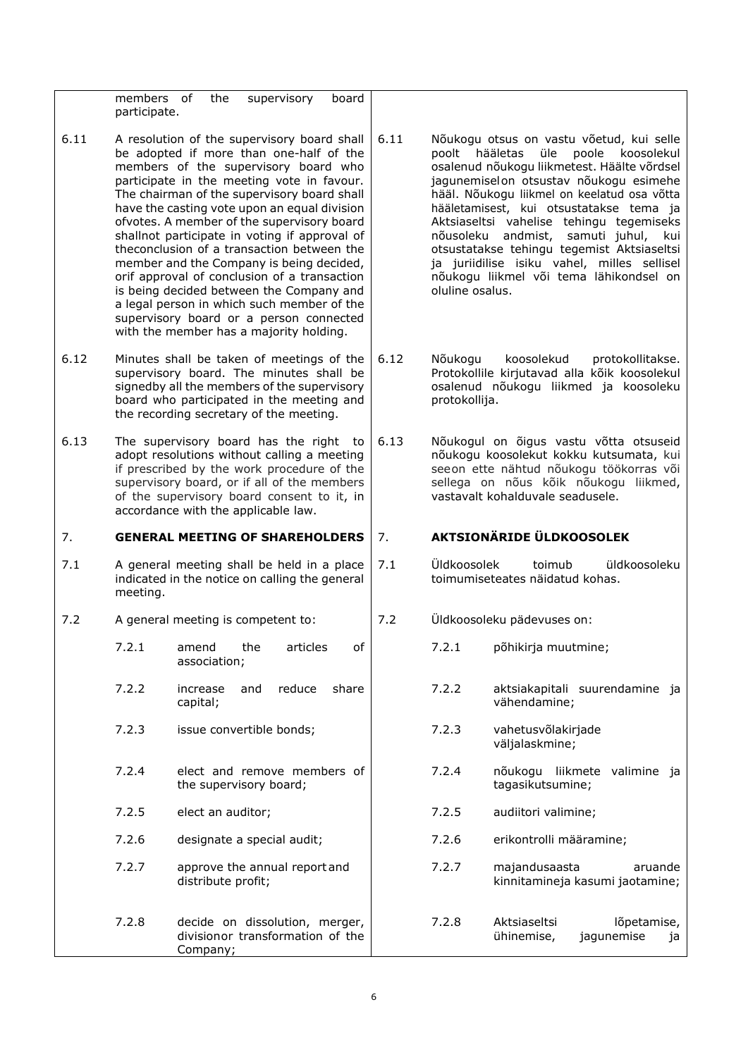<span id="page-5-3"></span><span id="page-5-2"></span><span id="page-5-1"></span><span id="page-5-0"></span>

|      | members of<br>participate.                                                                                                                                                                                                                                                 | the                                | supervisory                                                                                                                                                                                                                                                                                                                                                                                                                                                                                                                                                                                                                                                                                          | board |      |                                                                                                                                                                                                           |                                                                                                                                                                                                                                                                                                                                                                                                                                                                                               |
|------|----------------------------------------------------------------------------------------------------------------------------------------------------------------------------------------------------------------------------------------------------------------------------|------------------------------------|------------------------------------------------------------------------------------------------------------------------------------------------------------------------------------------------------------------------------------------------------------------------------------------------------------------------------------------------------------------------------------------------------------------------------------------------------------------------------------------------------------------------------------------------------------------------------------------------------------------------------------------------------------------------------------------------------|-------|------|-----------------------------------------------------------------------------------------------------------------------------------------------------------------------------------------------------------|-----------------------------------------------------------------------------------------------------------------------------------------------------------------------------------------------------------------------------------------------------------------------------------------------------------------------------------------------------------------------------------------------------------------------------------------------------------------------------------------------|
| 6.11 |                                                                                                                                                                                                                                                                            |                                    | A resolution of the supervisory board shall<br>be adopted if more than one-half of the<br>members of the supervisory board who<br>participate in the meeting vote in favour.<br>The chairman of the supervisory board shall<br>have the casting vote upon an equal division<br>ofvotes. A member of the supervisory board<br>shallnot participate in voting if approval of<br>theconclusion of a transaction between the<br>member and the Company is being decided,<br>orif approval of conclusion of a transaction<br>is being decided between the Company and<br>a legal person in which such member of the<br>supervisory board or a person connected<br>with the member has a majority holding. |       | 6.11 | poolt<br>nõusoleku<br>oluline osalus.                                                                                                                                                                     | Nõukogu otsus on vastu võetud, kui selle<br>hääletas<br>üle<br>poole<br>koosolekul<br>osalenud nõukogu liikmetest. Häälte võrdsel<br>jagunemiselon otsustav nõukogu esimehe<br>hääl. Nõukogu liikmel on keelatud osa võtta<br>hääletamisest, kui otsustatakse tema ja<br>Aktsiaseltsi vahelise tehingu tegemiseks<br>andmist,<br>samuti juhul,<br>kui<br>otsustatakse tehingu tegemist Aktsiaseltsi<br>ja juriidilise isiku vahel, milles sellisel<br>nõukogu liikmel või tema lähikondsel on |
| 6.12 |                                                                                                                                                                                                                                                                            |                                    | Minutes shall be taken of meetings of the<br>supervisory board. The minutes shall be<br>signedby all the members of the supervisory<br>board who participated in the meeting and<br>the recording secretary of the meeting.                                                                                                                                                                                                                                                                                                                                                                                                                                                                          |       | 6.12 | Nõukogu<br>protokollija.                                                                                                                                                                                  | koosolekud<br>protokollitakse.<br>Protokollile kirjutavad alla kõik koosolekul<br>osalenud nõukogu liikmed ja koosoleku                                                                                                                                                                                                                                                                                                                                                                       |
| 6.13 | The supervisory board has the right<br>to<br>adopt resolutions without calling a meeting<br>if prescribed by the work procedure of the<br>supervisory board, or if all of the members<br>of the supervisory board consent to it, in<br>accordance with the applicable law. |                                    |                                                                                                                                                                                                                                                                                                                                                                                                                                                                                                                                                                                                                                                                                                      | 6.13  |      | Nõukogul on õigus vastu võtta otsuseid<br>nõukogu koosolekut kokku kutsumata, kui<br>seeon ette nähtud nõukogu töökorras või<br>sellega on nõus kõik nõukogu liikmed,<br>vastavalt kohalduvale seadusele. |                                                                                                                                                                                                                                                                                                                                                                                                                                                                                               |
|      | <b>GENERAL MEETING OF SHAREHOLDERS</b>                                                                                                                                                                                                                                     |                                    |                                                                                                                                                                                                                                                                                                                                                                                                                                                                                                                                                                                                                                                                                                      |       |      |                                                                                                                                                                                                           |                                                                                                                                                                                                                                                                                                                                                                                                                                                                                               |
| 7.   |                                                                                                                                                                                                                                                                            |                                    |                                                                                                                                                                                                                                                                                                                                                                                                                                                                                                                                                                                                                                                                                                      |       | 7.   |                                                                                                                                                                                                           | <b>AKTSIONÄRIDE ÜLDKOOSOLEK</b>                                                                                                                                                                                                                                                                                                                                                                                                                                                               |
| 7.1  | meeting.                                                                                                                                                                                                                                                                   |                                    | A general meeting shall be held in a place<br>indicated in the notice on calling the general                                                                                                                                                                                                                                                                                                                                                                                                                                                                                                                                                                                                         |       | 7.1  | Üldkoosolek                                                                                                                                                                                               | toimub<br>üldkoosoleku<br>toimumiseteates näidatud kohas.                                                                                                                                                                                                                                                                                                                                                                                                                                     |
| 7.2  |                                                                                                                                                                                                                                                                            | A general meeting is competent to: |                                                                                                                                                                                                                                                                                                                                                                                                                                                                                                                                                                                                                                                                                                      |       | 7.2  |                                                                                                                                                                                                           | Üldkoosoleku pädevuses on:                                                                                                                                                                                                                                                                                                                                                                                                                                                                    |
|      | 7.2.1                                                                                                                                                                                                                                                                      | amend<br>association;              | the<br>articles                                                                                                                                                                                                                                                                                                                                                                                                                                                                                                                                                                                                                                                                                      | 0f    |      | 7.2.1                                                                                                                                                                                                     | põhikirja muutmine;                                                                                                                                                                                                                                                                                                                                                                                                                                                                           |
|      | 7.2.2                                                                                                                                                                                                                                                                      | increase<br>capital;               | reduce<br>and                                                                                                                                                                                                                                                                                                                                                                                                                                                                                                                                                                                                                                                                                        | share |      | 7.2.2                                                                                                                                                                                                     | aktsiakapitali suurendamine ja<br>vähendamine;                                                                                                                                                                                                                                                                                                                                                                                                                                                |
|      | 7.2.3                                                                                                                                                                                                                                                                      | issue convertible bonds;           |                                                                                                                                                                                                                                                                                                                                                                                                                                                                                                                                                                                                                                                                                                      |       |      | 7.2.3                                                                                                                                                                                                     | vahetusvõlakirjade<br>väljalaskmine;                                                                                                                                                                                                                                                                                                                                                                                                                                                          |
|      | 7.2.4                                                                                                                                                                                                                                                                      | the supervisory board;             | elect and remove members of                                                                                                                                                                                                                                                                                                                                                                                                                                                                                                                                                                                                                                                                          |       |      | 7.2.4                                                                                                                                                                                                     | nõukogu liikmete valimine ja<br>tagasikutsumine;                                                                                                                                                                                                                                                                                                                                                                                                                                              |
|      | 7.2.5                                                                                                                                                                                                                                                                      | elect an auditor;                  |                                                                                                                                                                                                                                                                                                                                                                                                                                                                                                                                                                                                                                                                                                      |       |      | 7.2.5                                                                                                                                                                                                     | audiitori valimine;                                                                                                                                                                                                                                                                                                                                                                                                                                                                           |
|      | 7.2.6                                                                                                                                                                                                                                                                      |                                    | designate a special audit;                                                                                                                                                                                                                                                                                                                                                                                                                                                                                                                                                                                                                                                                           |       |      | 7.2.6                                                                                                                                                                                                     | erikontrolli määramine;                                                                                                                                                                                                                                                                                                                                                                                                                                                                       |
|      | 7.2.7                                                                                                                                                                                                                                                                      | distribute profit;                 | approve the annual report and                                                                                                                                                                                                                                                                                                                                                                                                                                                                                                                                                                                                                                                                        |       |      | 7.2.7                                                                                                                                                                                                     | majandusaasta<br>aruande<br>kinnitamineja kasumi jaotamine;                                                                                                                                                                                                                                                                                                                                                                                                                                   |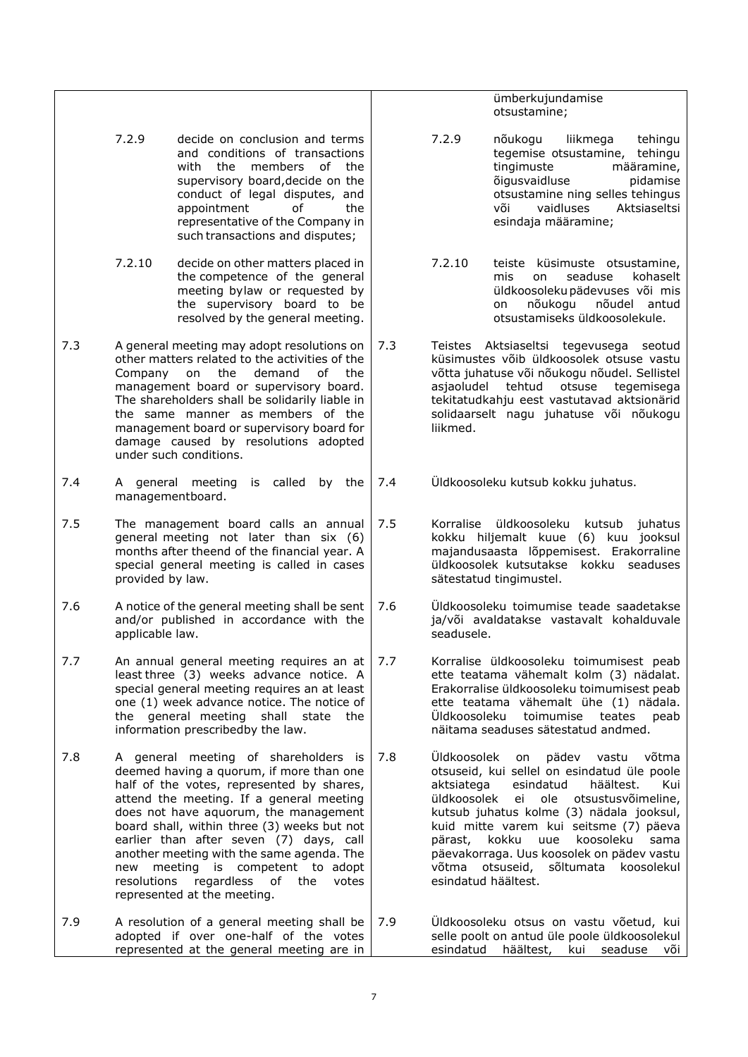ümberkujundamise otsustamine;

- <span id="page-6-0"></span>7.2.9 decide on conclusion and terms and conditions of transactions with the members of the supervisory board,decide on the conduct of legal disputes, and appointment of the representative of the Company in such transactions and disputes;
- 7.2.10 decide on other matters placed in the competence of the general meeting bylaw or requested by the supervisory board to be resolved by the general meeting.
- 7.3 A general meeting may adopt resolutions on other matters related to the activities of the Company on the demand of the management board or supervisory board. The shareholders shall be solidarily liable in the same manner as members of the management board or supervisory board for damage caused by resolutions adopted under such conditions.
- 7.4 A general meeting is called by the managementboard.
- 7.5 The management board calls an annual general meeting not later than six (6) months after theend of the financial year. A special general meeting is called in cases provided by law.
- 7.6 A notice of the general meeting shall be sent and/or published in accordance with the applicable law.
- 7.7 An annual general meeting requires an at least three (3) weeks advance notice. A special general meeting requires an at least one (1) week advance notice. The notice of the general meeting shall state the information prescribedby the law.
- 7.8 A general meeting of shareholders is deemed having a quorum, if more than one half of the votes, represented by shares, attend the meeting. If a general meeting does not have aquorum, the management board shall, within three (3) weeks but not earlier than after seven (7) days, call another meeting with the same agenda. The new meeting is competent to adopt resolutions regardless of the votes represented at the meeting.
- 7.9 A resolution of a general meeting shall be adopted if over one-half of the votes represented at the general meeting are in 7.9 Üldkoosoleku otsus on vastu võetud, kui selle poolt on antud üle poole üldkoosolekul esindatud häältest, kui seaduse või

<span id="page-6-1"></span>7.2.9 nõukogu liikmega tehingu tegemise otsustamine, tehingu tingimuste määramine, õigusvaidluse pidamise otsustamine ning selles tehingus või vaidluses Aktsiaseltsi esindaja määramine;

- 7.2.10 teiste küsimuste otsustamine, mis on seaduse kohaselt üldkoosolekupädevuses või mis on nõukogu nõudel antud otsustamiseks üldkoosolekule.
- 7.3 Teistes Aktsiaseltsi tegevusega seotud küsimustes võib üldkoosolek otsuse vastu võtta juhatuse või nõukogu nõudel. Sellistel asjaoludel tehtud otsuse tegemisega tekitatudkahju eest vastutavad aktsionärid solidaarselt nagu juhatuse või nõukogu liikmed.
- 7.4 Üldkoosoleku kutsub kokku juhatus.
- 7.5 Korralise üldkoosoleku kutsub juhatus kokku hiljemalt kuue (6) kuu jooksul majandusaasta lõppemisest. Erakorraline üldkoosolek kutsutakse kokku seaduses sätestatud tingimustel.
- 7.6 Üldkoosoleku toimumise teade saadetakse ja/või avaldatakse vastavalt kohalduvale seadusele.
- 7.7 Korralise üldkoosoleku toimumisest peab ette teatama vähemalt kolm (3) nädalat. Erakorralise üldkoosoleku toimumisest peab ette teatama vähemalt ühe (1) nädala. Üldkoosoleku toimumise teates peab näitama seaduses sätestatud andmed.
- 7.8 Üldkoosolek on pädev vastu võtma otsuseid, kui sellel on esindatud üle poole aktsiatega esindatud häältest. Kui üldkoosolek ei ole otsustusvõimeline, kutsub juhatus kolme (3) nädala jooksul, kuid mitte varem kui seitsme (7) päeva pärast, kokku uue koosoleku sama päevakorraga. Uus koosolek on pädev vastu<br>võtma otsuseid, sõltumata koosolekul sõltumata koosolekul esindatud häältest.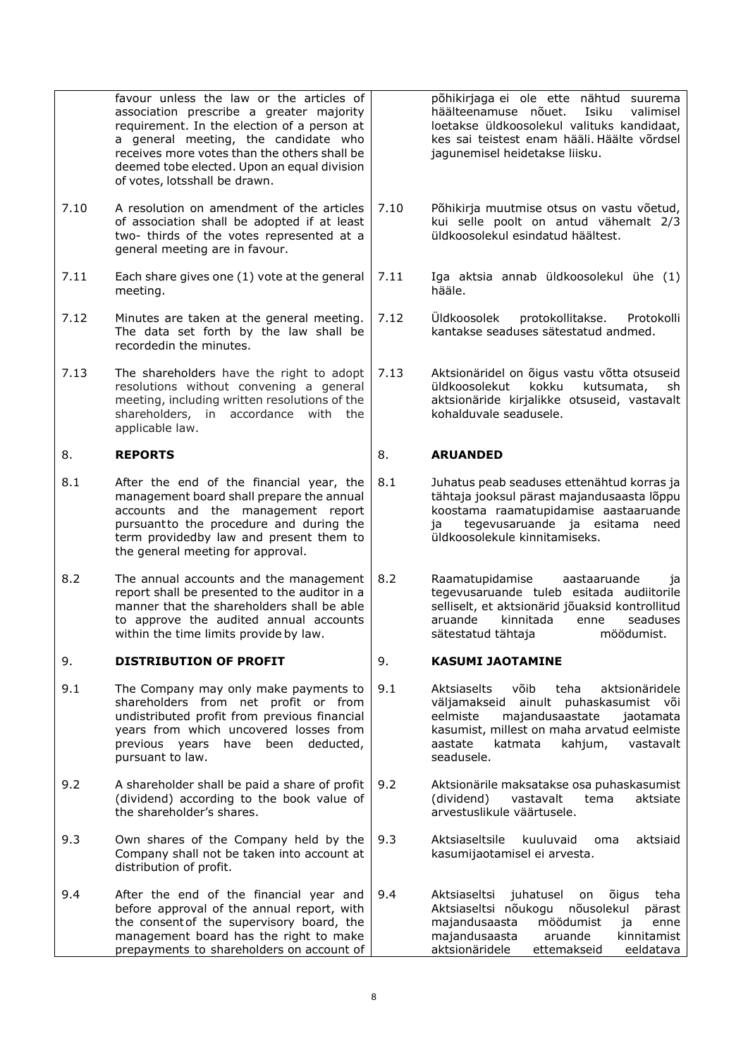| 9.4  | After the end of the financial year and<br>before approval of the annual report, with<br>the consent of the supervisory board, the<br>management board has the right to make<br>prepayments to shareholders on account of                                                                                   | 9.4  | juhatusel<br>Aktsiaseltsi<br>õigus<br>teha<br>on<br>Aktsiaseltsi nõukogu<br>nõusolekul<br>pärast<br>möödumist<br>majandusaasta<br>ja<br>enne<br>majandusaasta<br>aruande<br>kinnitamist<br>aktsionäridele<br>ettemakseid<br>eeldatava           |
|------|-------------------------------------------------------------------------------------------------------------------------------------------------------------------------------------------------------------------------------------------------------------------------------------------------------------|------|-------------------------------------------------------------------------------------------------------------------------------------------------------------------------------------------------------------------------------------------------|
| 9.3  | Own shares of the Company held by the<br>Company shall not be taken into account at<br>distribution of profit.                                                                                                                                                                                              | 9.3  | Aktsiaseltsile<br>kuuluvaid<br>aktsiaid<br>oma<br>kasumijaotamisel ei arvesta.                                                                                                                                                                  |
| 9.2  | A shareholder shall be paid a share of profit<br>(dividend) according to the book value of<br>the shareholder's shares.                                                                                                                                                                                     | 9.2  | Aktsionärile maksatakse osa puhaskasumist<br>(dividend)<br>vastavalt<br>tema<br>aktsiate<br>arvestuslikule väärtusele.                                                                                                                          |
| 9.1  | The Company may only make payments to<br>shareholders from net profit or from<br>undistributed profit from previous financial<br>years from which uncovered losses from<br>previous years<br>have<br>deducted,<br>been<br>pursuant to law.                                                                  | 9.1  | Aktsiaselts<br>võib<br>teha<br>aktsionäridele<br>ainult puhaskasumist või<br>väljamakseid<br>majandusaastate<br>eelmiste<br>iaotamata<br>kasumist, millest on maha arvatud eelmiste<br>katmata<br>kahjum,<br>vastavalt<br>aastate<br>seadusele. |
| 9.   | <b>DISTRIBUTION OF PROFIT</b>                                                                                                                                                                                                                                                                               | 9.   | <b>KASUMI JAOTAMINE</b>                                                                                                                                                                                                                         |
| 8.2  | The annual accounts and the management<br>report shall be presented to the auditor in a<br>manner that the shareholders shall be able<br>to approve the audited annual accounts<br>within the time limits provide by law.                                                                                   | 8.2  | Raamatupidamise<br>aastaaruande<br>ja<br>tegevusaruande tuleb esitada audiitorile<br>selliselt, et aktsionärid jõuaksid kontrollitud<br>kinnitada<br>aruande<br>enne<br>seaduses<br>sätestatud tähtaja<br>möödumist.                            |
| 8.1  | After the end of the financial year, the<br>management board shall prepare the annual<br>accounts and the management report<br>pursuantto the procedure and during the<br>term providedby law and present them to<br>the general meeting for approval.                                                      | 8.1  | Juhatus peab seaduses ettenähtud korras ja<br>tähtaja jooksul pärast majandusaasta lõppu<br>koostama raamatupidamise aastaaruande<br>tegevusaruande ja esitama<br>need<br>ja<br>üldkoosolekule kinnitamiseks.                                   |
| 8.   | <b>REPORTS</b>                                                                                                                                                                                                                                                                                              | 8.   | <b>ARUANDED</b>                                                                                                                                                                                                                                 |
| 7.13 | The shareholders have the right to adopt<br>resolutions without convening a general<br>meeting, including written resolutions of the<br>shareholders, in accordance with the<br>applicable law.                                                                                                             | 7.13 | Aktsionäridel on õigus vastu võtta otsuseid<br>kokku<br>kutsumata,<br>üldkoosolekut<br>sh<br>aktsionäride kirjalikke otsuseid, vastavalt<br>kohalduvale seadusele.                                                                              |
| 7.12 | Minutes are taken at the general meeting.<br>The data set forth by the law shall be<br>recorded in the minutes.                                                                                                                                                                                             | 7.12 | <b>Uldkoosolek</b><br>protokollitakse.<br>Protokolli<br>kantakse seaduses sätestatud andmed.                                                                                                                                                    |
| 7.11 | Each share gives one (1) vote at the general<br>meeting.                                                                                                                                                                                                                                                    | 7.11 | Iga aktsia annab üldkoosolekul ühe (1)<br>hääle.                                                                                                                                                                                                |
| 7.10 | A resolution on amendment of the articles<br>of association shall be adopted if at least<br>two- thirds of the votes represented at a<br>general meeting are in favour.                                                                                                                                     | 7.10 | Põhikirja muutmise otsus on vastu võetud,<br>kui selle poolt on antud vähemalt 2/3<br>üldkoosolekul esindatud häältest.                                                                                                                         |
|      | favour unless the law or the articles of<br>association prescribe a greater majority<br>requirement. In the election of a person at<br>a general meeting, the candidate who<br>receives more votes than the others shall be<br>deemed tobe elected. Upon an equal division<br>of votes, lotsshall be drawn. |      | põhikirjaga ei ole ette nähtud suurema<br>häälteenamuse nõuet.<br>Isiku<br>valimisel<br>loetakse üldkoosolekul valituks kandidaat,<br>kes sai teistest enam hääli. Häälte võrdsel<br>jagunemisel heidetakse liisku.                             |